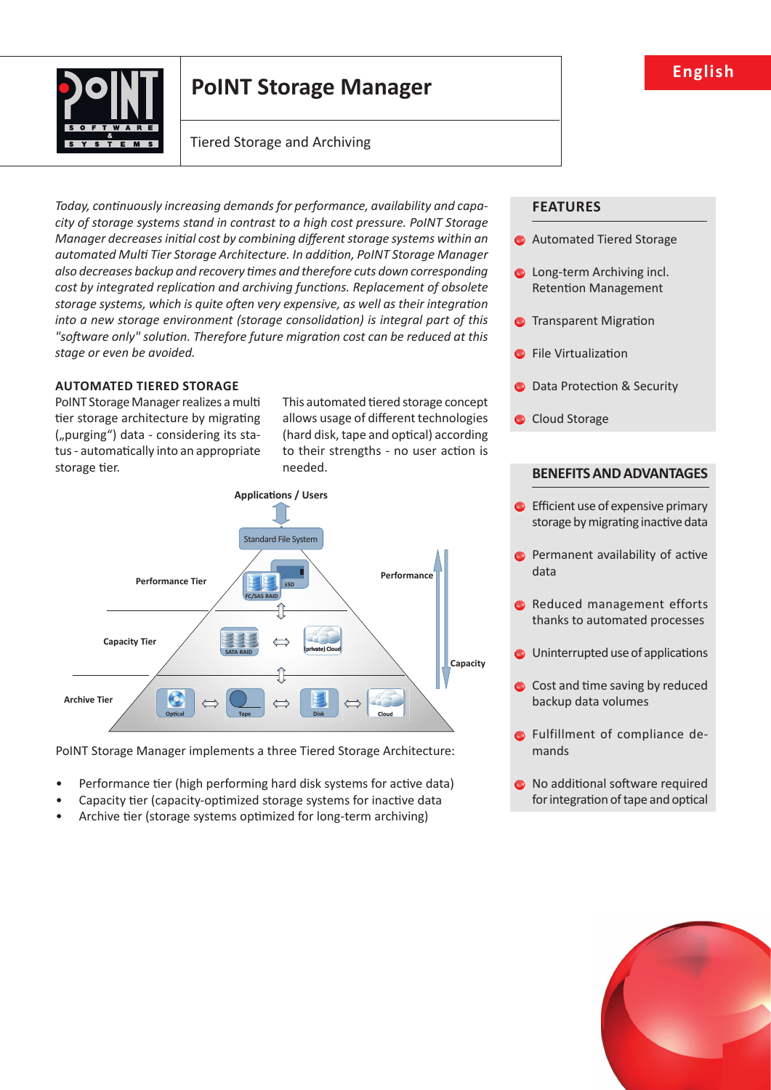

# **PoINT Storage Manager**

# Tiered Storage and Archiving

Today, continuously increasing demands for performance, availability and capa*city of storage systems stand in contrast to a high cost pressure. PoINT Storage Manager decreases initial cost by combining different storage systems within an* automated Multi Tier Storage Architecture. In addition, PoINT Storage Manager *also decreases backup and recovery ti mes and therefore cuts down corresponding cost by integrated replication and archiving functions. Replacement of obsolete* storage systems, which is quite often very expensive, as well as their integration *into a new storage environment (storage consolidation) is integral part of this* "software only" solution. Therefore future migration cost can be reduced at this *stage or even be avoided.*

# **AUTOMATED TIERED STORAGE**

PoINT Storage Manager realizes a multi tier storage architecture by migrating ("purging") data - considering its status - automatically into an appropriate storage tier.

This automated tiered storage concept allows usage of different technologies (hard disk, tape and optical) according to their strengths - no user action is needed.



PoINT Storage Manager implements a three Tiered Storage Architecture:

- Performance tier (high performing hard disk systems for active data)
- Capacity tier (capacity-optimized storage systems for inactive data
- Archive tier (storage systems optimized for long-term archiving)

# **FEATURES**

- **C** Automated Tiered Storage
- **C** Long-term Archiving incl. Retention Management
- **C** Transparent Migration
- **C** File Virtualization
- **O** Data Protection & Security
- Cloud Storage

# **BENEFITS AND ADVANTAGES**

- $\bullet$  Efficient use of expensive primary storage by migrating inactive data
- $\bullet$  Permanent availability of active data
- Reduced management efforts thanks to automated processes
- $\bullet$  Uninterrupted use of applications
- $\bullet$  Cost and time saving by reduced backup data volumes
- **O** Fulfillment of compliance demands
- $\bullet$  No additional software required for integration of tape and optical